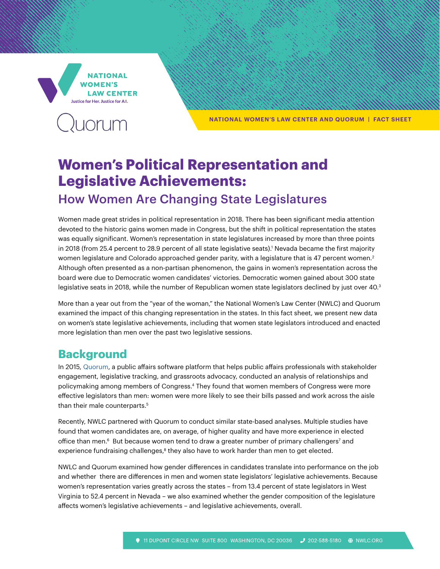**NATIONAL** WOMFN'S **LAW CENTER** Justice for Her. Justice for All.



**NATIONAL WOMEN'S LAW CENTER AND QUORUM | FACT SHEET** 

# **Women's Political Representation and Legislative Achievements:**

### How Women Are Changing State Legislatures

Women made great strides in political representation in 2018. There has been significant media attention devoted to the historic gains women made in Congress, but the shift in political representation the states was equally significant. Women's representation in state legislatures increased by more than three points in 2018 (from 25.4 percent to 28.9 percent of all state legislative seats).' Nevada became the first majority women legislature and Colorado approached gender parity, with a legislature that is 47 percent women. $^2$ Although often presented as a non-partisan phenomenon, the gains in women's representation across the board were due to Democratic women candidates' victories. Democratic women gained about 300 state legislative seats in 2018, while the number of Republican women state legislators declined by just over 40.<sup>3</sup>

More than a year out from the "year of the woman," the National Women's Law Center (NWLC) and Quorum examined the impact of this changing representation in the states. In this fact sheet, we present new data on women's state legislative achievements, including that women state legislators introduced and enacted more legislation than men over the past two legislative sessions.

#### **Background**

In 2015, [Quorum,](https://www.quorum.us/legislative-tracking/) a public affairs software platform that helps public affairs professionals with stakeholder engagement, legislative tracking, and grassroots advocacy, conducted an analysis of relationships and policymaking among members of Congress.4 They found that women members of Congress were more effective legislators than men: women were more likely to see their bills passed and work across the aisle than their male counterparts.<sup>5</sup>

Recently, NWLC partnered with Quorum to conduct similar state-based analyses. Multiple studies have found that women candidates are, on average, of higher quality and have more experience in elected office than men.<sup>6</sup> But because women tend to draw a greater number of primary challengers<sup>7</sup> and experience fundraising challenges,<sup>8</sup> they also have to work harder than men to get elected.

NWLC and Quorum examined how gender differences in candidates translate into performance on the job and whether there are differences in men and women state legislators' legislative achievements. Because women's representation varies greatly across the states – from 13.4 percent of state legislators in West Virginia to 52.4 percent in Nevada – we also examined whether the gender composition of the legislature affects women's legislative achievements – and legislative achievements, overall.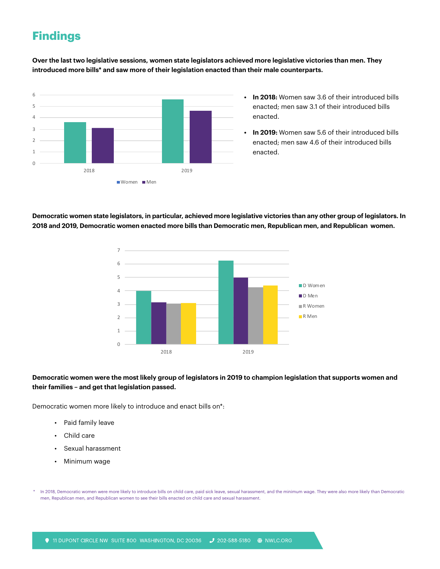## **Findings**

**Over the last two legislative sessions, women state legislators achieved more legislative victories than men. They**  introduced more bills\* and saw more of their legislation enacted than their male counterparts.<br>'



- **In 2018:** Women saw 3.6 of their introduced bills enacted; men saw 3.1 of their introduced bills enacted.
- **In 2019:** Women saw 5.6 of their introduced bills enacted; men saw 4.6 of their introduced bills enacted.

**Democratic women state legislators, in particular, achieved more legislative victories than any other group of legislators. In 2018 and 2019, Democratic women enacted more bills than Democratic men, Republican men, and Republican women.**



#### **Democratic women were the most likely group of legislators in 2019 to champion legislation that supports women and their families – and get that legislation passed.**

Democratic women more likely to introduce and enact bills on\*:

- Paid family leave
- Child care
- Sexual harassment
- Minimum wage

In 2018, Democratic women were more likely to introduce bills on child care, paid sick leave, sexual harassment, and the minimum wage. They were also more likely than Democratic men, Republican men, and Republican women to see their bills enacted on child care and sexual harassment.